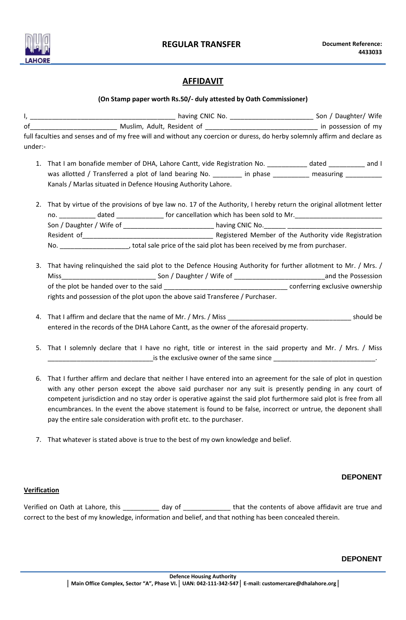

# **AFFIDAVIT**

## **(On Stamp paper worth Rs.50/- duly attested by Oath Commissioner)**

| under:-                                                                                                                                                                                                                                                                                                                                        | full faculties and senses and of my free will and without any coercion or duress, do herby solemnly affirm and declare as                                                                                                                                                                |  |  |  |  |
|------------------------------------------------------------------------------------------------------------------------------------------------------------------------------------------------------------------------------------------------------------------------------------------------------------------------------------------------|------------------------------------------------------------------------------------------------------------------------------------------------------------------------------------------------------------------------------------------------------------------------------------------|--|--|--|--|
|                                                                                                                                                                                                                                                                                                                                                | 1. That I am bonafide member of DHA, Lahore Cantt, vide Registration No. 100 marries dated 100 marries and I<br>was allotted / Transferred a plot of land bearing No. _________ in phase __________ measuring _________<br>Kanals / Marlas situated in Defence Housing Authority Lahore. |  |  |  |  |
| That by virtue of the provisions of bye law no. 17 of the Authority, I hereby return the original allotment letter<br>no. _____________ dated ________________ for cancellation which has been sold to Mr. _________________________<br>No. _______________________, total sale price of the said plot has been received by me from purchaser. |                                                                                                                                                                                                                                                                                          |  |  |  |  |

- 3. That having relinquished the said plot to the Defence Housing Authority for further allotment to Mr. / Mrs. / Miss\_\_\_\_\_\_\_\_\_\_\_\_\_\_\_\_\_\_\_\_\_\_\_\_\_\_ Son / Daughter / Wife of \_\_\_\_\_\_\_\_\_\_\_\_\_\_\_\_\_\_\_\_\_\_\_\_\_and the Possession of the plot be handed over to the said \_\_\_\_\_\_\_\_\_\_\_\_\_\_\_\_\_\_\_\_\_\_\_\_\_\_\_\_\_\_\_\_\_\_ conferring exclusive ownership rights and possession of the plot upon the above said Transferee / Purchaser.
- 4. That I affirm and declare that the name of Mr. / Mrs. / Miss \_\_\_\_\_\_\_\_\_\_\_\_\_\_\_\_\_\_\_\_\_\_\_\_\_\_\_\_\_\_\_\_\_\_ should be entered in the records of the DHA Lahore Cantt, as the owner of the aforesaid property.
- 5. That I solemnly declare that I have no right, title or interest in the said property and Mr. / Mrs. / Miss  $\frac{1}{\sqrt{2}}$  is the exclusive owner of the same since  $\frac{1}{\sqrt{2}}$
- 6. That I further affirm and declare that neither I have entered into an agreement for the sale of plot in question with any other person except the above said purchaser nor any suit is presently pending in any court of competent jurisdiction and no stay order is operative against the said plot furthermore said plot is free from all encumbrances. In the event the above statement is found to be false, incorrect or untrue, the deponent shall pay the entire sale consideration with profit etc. to the purchaser.
- 7. That whatever is stated above is true to the best of my own knowledge and belief.

## **DEPONENT**

### **Verification**

Verified on Oath at Lahore, this \_\_\_\_\_\_\_\_\_\_\_ day of \_\_\_\_\_\_\_\_\_\_\_\_\_\_\_ that the contents of above affidavit are true and correct to the best of my knowledge, information and belief, and that nothing has been concealed therein.